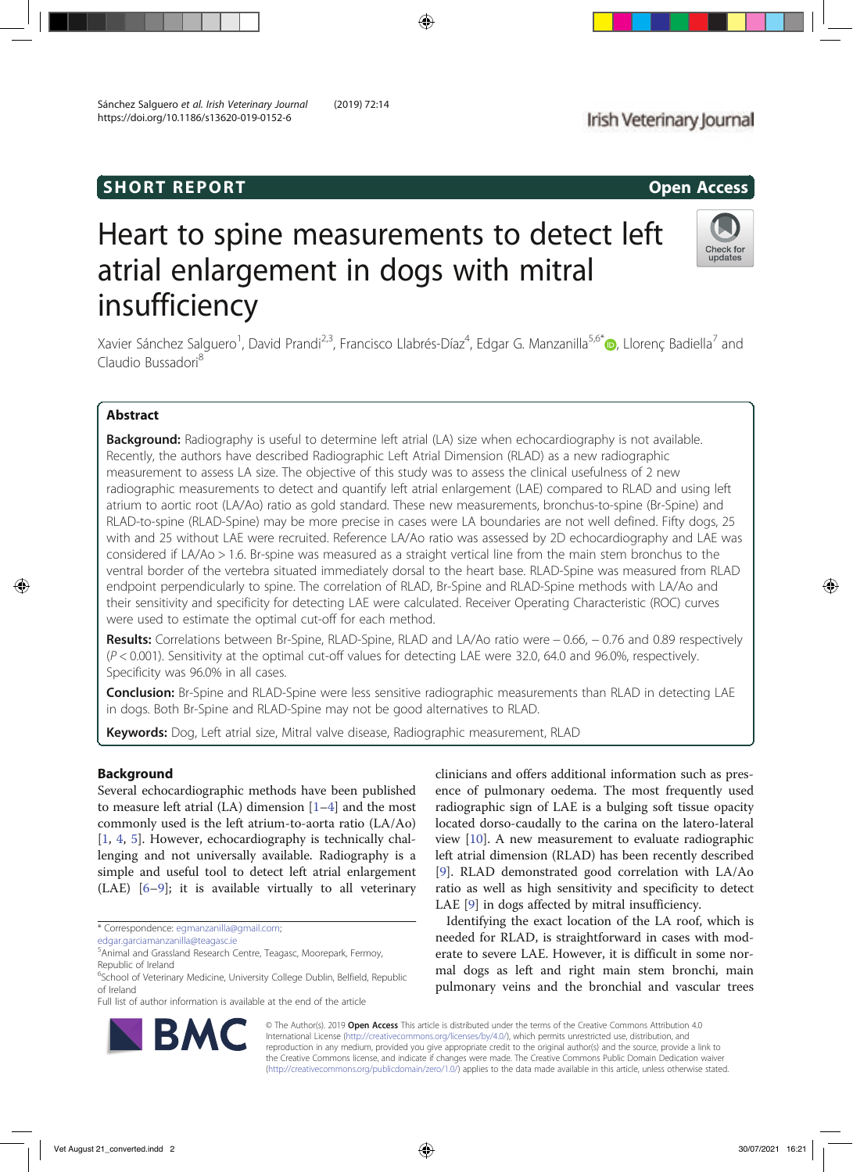# **SHORT REPORT CONSUMING THE SHORT CONSUMING THE CONSUMING THE CONSUMING THE CONSUMING THE CONSUMING THE CONSUMING THE CONSUMING THE CONSUMING THE CONSUMING THE CONSUMING THE CONSUMING THE CONSUMING THE CONSUMING THE CONSUM**

# Heart to spine measurements to detect left atrial enlargement in dogs with mitral insufficiency

Xavier Sánchez Salguero<sup>1</sup>, David Prandi<sup>2,3</sup>, Francisco Llabrés-Díaz<sup>4</sup>, Edgar G. Manzanilla<sup>5,6\*</sup>®, Llorenç Badiella<sup>7</sup> and Claudio Bussadori<sup>8</sup>

# Abstract

Background: Radiography is useful to determine left atrial (LA) size when echocardiography is not available. Recently, the authors have described Radiographic Left Atrial Dimension (RLAD) as a new radiographic measurement to assess LA size. The objective of this study was to assess the clinical usefulness of 2 new radiographic measurements to detect and quantify left atrial enlargement (LAE) compared to RLAD and using left atrium to aortic root (LA/Ao) ratio as gold standard. These new measurements, bronchus-to-spine (Br-Spine) and RLAD-to-spine (RLAD-Spine) may be more precise in cases were LA boundaries are not well defined. Fifty dogs, 25 with and 25 without LAE were recruited. Reference LA/Ao ratio was assessed by 2D echocardiography and LAE was considered if LA/Ao > 1.6. Br-spine was measured as a straight vertical line from the main stem bronchus to the ventral border of the vertebra situated immediately dorsal to the heart base. RLAD-Spine was measured from RLAD endpoint perpendicularly to spine. The correlation of RLAD, Br-Spine and RLAD-Spine methods with LA/Ao and their sensitivity and specificity for detecting LAE were calculated. Receiver Operating Characteristic (ROC) curves were used to estimate the optimal cut-off for each method.

Results: Correlations between Br-Spine, RLAD-Spine, RLAD and LA/Ao ratio were − 0.66, − 0.76 and 0.89 respectively (P < 0.001). Sensitivity at the optimal cut-off values for detecting LAE were 32.0, 64.0 and 96.0%, respectively. Specificity was 96.0% in all cases.

Conclusion: Br-Spine and RLAD-Spine were less sensitive radiographic measurements than RLAD in detecting LAE in dogs. Both Br-Spine and RLAD-Spine may not be good alternatives to RLAD.

Keywords: Dog, Left atrial size, Mitral valve disease, Radiographic measurement, RLAD

# Background

Several echocardiographic methods have been published to measure left atrial  $(LA)$  dimension  $[1-4]$  and the most commonly used is the left atrium-to-aorta ratio (LA/Ao) [1, 4, 5]. However, echocardiography is technically challenging and not universally available. Radiography is a simple and useful tool to detect left atrial enlargement (LAE) [6–9]; it is available virtually to all veterinary

\* Correspondence: egmanzanilla@gmail.com;

edgar.garciamanzanilla@teagasc.ie

Full list of author information is available at the end of the article

clinicians and offers additional information such as presence of pulmonary oedema. The most frequently used radiographic sign of LAE is a bulging soft tissue opacity located dorso-caudally to the carina on the latero-lateral view [10]. A new measurement to evaluate radiographic left atrial dimension (RLAD) has been recently described [9]. RLAD demonstrated good correlation with LA/Ao ratio as well as high sensitivity and specificity to detect LAE [9] in dogs affected by mitral insufficiency.

Identifying the exact location of the LA roof, which is needed for RLAD, is straightforward in cases with moderate to severe LAE. However, it is difficult in some normal dogs as left and right main stem bronchi, main pulmonary veins and the bronchial and vascular trees

© The Author(s). 2019 Open Access This article is distributed under the terms of the Creative Commons Attribution 4.0 International License (http://creativecommons.org/licenses/by/4.0/), which permits unrestricted use, distribution, and reproduction in any medium, provided you give appropriate credit to the original author(s) and the source, provide a link to the Creative Commons license, and indicate if changes were made. The Creative Commons Public Domain Dedication waiver (http://creativecommons.org/publicdomain/zero/1.0/) applies to the data made available in this article, unless otherwise stated.





<sup>5</sup> Animal and Grassland Research Centre, Teagasc, Moorepark, Fermoy, Republic of Ireland

<sup>&</sup>lt;sup>6</sup>School of Veterinary Medicine, University College Dublin, Belfield, Republic of Ireland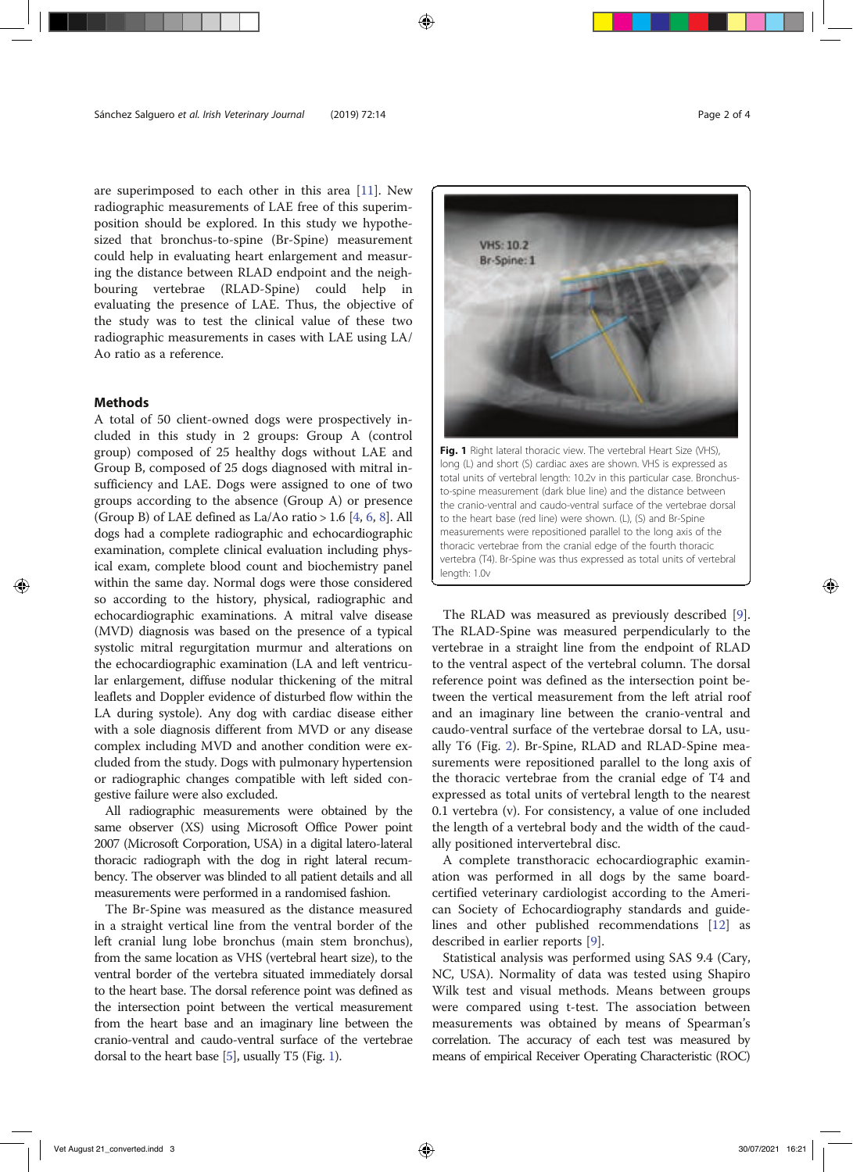are superimposed to each other in this area [11]. New radiographic measurements of LAE free of this superimposition should be explored. In this study we hypothesized that bronchus-to-spine (Br-Spine) measurement could help in evaluating heart enlargement and measuring the distance between RLAD endpoint and the neighbouring vertebrae (RLAD-Spine) could help in evaluating the presence of LAE. Thus, the objective of the study was to test the clinical value of these two radiographic measurements in cases with LAE using LA/ Ao ratio as a reference.

## Methods

A total of 50 client-owned dogs were prospectively included in this study in 2 groups: Group A (control group) composed of 25 healthy dogs without LAE and Group B, composed of 25 dogs diagnosed with mitral insufficiency and LAE. Dogs were assigned to one of two groups according to the absence (Group A) or presence (Group B) of LAE defined as La/Ao ratio > 1.6 [4, 6, 8]. All dogs had a complete radiographic and echocardiographic examination, complete clinical evaluation including physical exam, complete blood count and biochemistry panel within the same day. Normal dogs were those considered so according to the history, physical, radiographic and echocardiographic examinations. A mitral valve disease (MVD) diagnosis was based on the presence of a typical systolic mitral regurgitation murmur and alterations on the echocardiographic examination (LA and left ventricular enlargement, diffuse nodular thickening of the mitral leaflets and Doppler evidence of disturbed flow within the LA during systole). Any dog with cardiac disease either with a sole diagnosis different from MVD or any disease complex including MVD and another condition were excluded from the study. Dogs with pulmonary hypertension or radiographic changes compatible with left sided congestive failure were also excluded.

All radiographic measurements were obtained by the same observer (XS) using Microsoft Office Power point 2007 (Microsoft Corporation, USA) in a digital latero-lateral thoracic radiograph with the dog in right lateral recumbency. The observer was blinded to all patient details and all measurements were performed in a randomised fashion.

The Br-Spine was measured as the distance measured in a straight vertical line from the ventral border of the left cranial lung lobe bronchus (main stem bronchus), from the same location as VHS (vertebral heart size), to the ventral border of the vertebra situated immediately dorsal to the heart base. The dorsal reference point was defined as the intersection point between the vertical measurement from the heart base and an imaginary line between the cranio-ventral and caudo-ventral surface of the vertebrae dorsal to the heart base [5], usually T5 (Fig. 1).



Fig. 1 Right lateral thoracic view. The vertebral Heart Size (VHS), long (L) and short (S) cardiac axes are shown. VHS is expressed as total units of vertebral length: 10.2v in this particular case. Bronchusto-spine measurement (dark blue line) and the distance between the cranio-ventral and caudo-ventral surface of the vertebrae dorsal to the heart base (red line) were shown. (L), (S) and Br-Spine measurements were repositioned parallel to the long axis of the thoracic vertebrae from the cranial edge of the fourth thoracic vertebra (T4). Br-Spine was thus expressed as total units of vertebral length: 1.0v

The RLAD was measured as previously described [9]. The RLAD-Spine was measured perpendicularly to the vertebrae in a straight line from the endpoint of RLAD to the ventral aspect of the vertebral column. The dorsal reference point was defined as the intersection point between the vertical measurement from the left atrial roof and an imaginary line between the cranio-ventral and caudo-ventral surface of the vertebrae dorsal to LA, usually T6 (Fig. 2). Br-Spine, RLAD and RLAD-Spine measurements were repositioned parallel to the long axis of the thoracic vertebrae from the cranial edge of T4 and expressed as total units of vertebral length to the nearest 0.1 vertebra (v). For consistency, a value of one included the length of a vertebral body and the width of the caudally positioned intervertebral disc.

A complete transthoracic echocardiographic examination was performed in all dogs by the same boardcertified veterinary cardiologist according to the American Society of Echocardiography standards and guidelines and other published recommendations [12] as described in earlier reports [9].

Statistical analysis was performed using SAS 9.4 (Cary, NC, USA). Normality of data was tested using Shapiro Wilk test and visual methods. Means between groups were compared using t-test. The association between measurements was obtained by means of Spearman's correlation. The accuracy of each test was measured by means of empirical Receiver Operating Characteristic (ROC)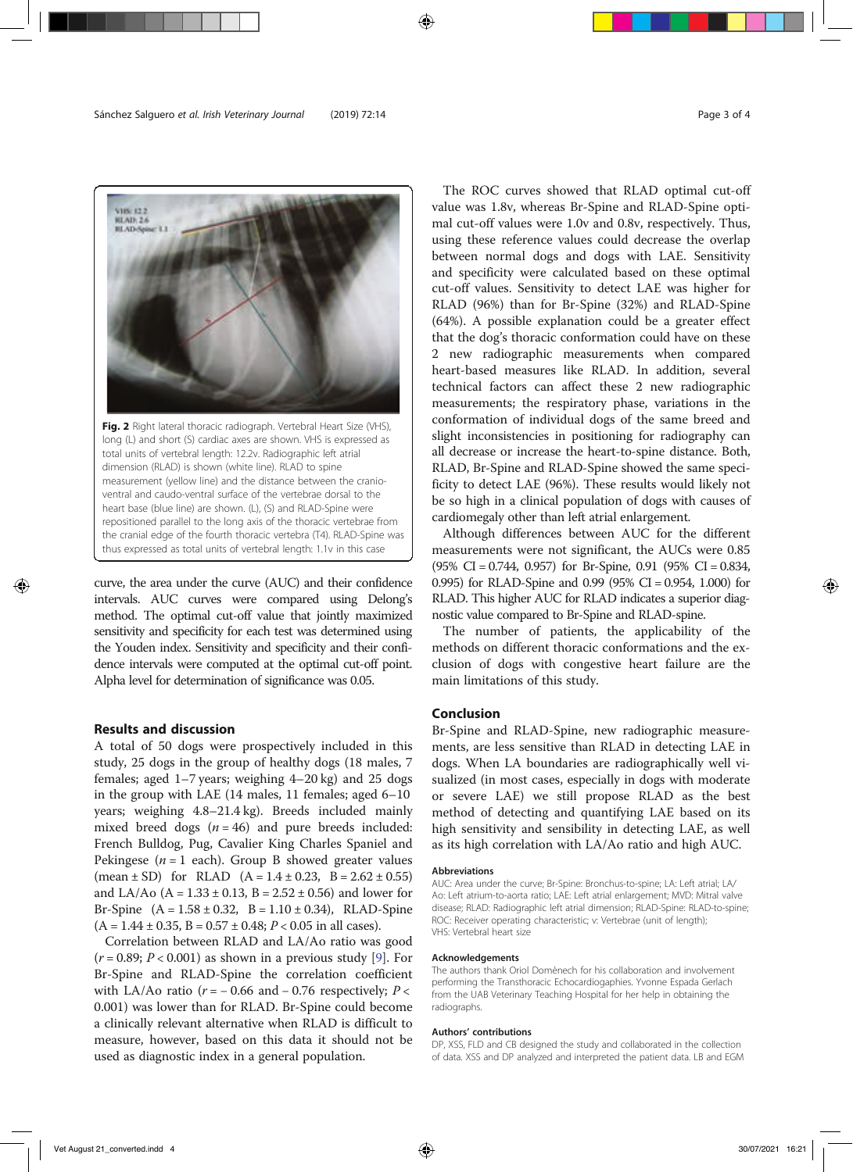

curve, the area under the curve (AUC) and their confidence intervals. AUC curves were compared using Delong's method. The optimal cut-off value that jointly maximized sensitivity and specificity for each test was determined using the Youden index. Sensitivity and specificity and their confidence intervals were computed at the optimal cut-off point. Alpha level for determination of significance was 0.05.

thus expressed as total units of vertebral length: 1.1v in this case

# Results and discussion

A total of 50 dogs were prospectively included in this study, 25 dogs in the group of healthy dogs (18 males, 7 females; aged 1–7 years; weighing 4–20 kg) and 25 dogs in the group with LAE (14 males, 11 females; aged 6–10 years; weighing 4.8–21.4 kg). Breeds included mainly mixed breed dogs  $(n = 46)$  and pure breeds included: French Bulldog, Pug, Cavalier King Charles Spaniel and Pekingese ( $n = 1$  each). Group B showed greater values (mean  $\pm$  SD) for RLAD (A = 1.4  $\pm$  0.23, B = 2.62  $\pm$  0.55) and LA/Ao ( $A = 1.33 \pm 0.13$ ,  $B = 2.52 \pm 0.56$ ) and lower for Br-Spine  $(A = 1.58 \pm 0.32, B = 1.10 \pm 0.34)$ , RLAD-Spine  $(A = 1.44 \pm 0.35, B = 0.57 \pm 0.48; P < 0.05$  in all cases).

Correlation between RLAD and LA/Ao ratio was good  $(r = 0.89; P < 0.001)$  as shown in a previous study [9]. For Br-Spine and RLAD-Spine the correlation coefficient with LA/Ao ratio ( $r = -0.66$  and  $-0.76$  respectively;  $P <$ 0.001) was lower than for RLAD. Br-Spine could become a clinically relevant alternative when RLAD is difficult to measure, however, based on this data it should not be used as diagnostic index in a general population.

The ROC curves showed that RLAD optimal cut-off value was 1.8v, whereas Br-Spine and RLAD-Spine optimal cut-off values were 1.0v and 0.8v, respectively. Thus, using these reference values could decrease the overlap between normal dogs and dogs with LAE. Sensitivity and specificity were calculated based on these optimal cut-off values. Sensitivity to detect LAE was higher for RLAD (96%) than for Br-Spine (32%) and RLAD-Spine (64%). A possible explanation could be a greater effect that the dog's thoracic conformation could have on these 2 new radiographic measurements when compared heart-based measures like RLAD. In addition, several technical factors can affect these 2 new radiographic measurements; the respiratory phase, variations in the conformation of individual dogs of the same breed and slight inconsistencies in positioning for radiography can all decrease or increase the heart-to-spine distance. Both, RLAD, Br-Spine and RLAD-Spine showed the same specificity to detect LAE (96%). These results would likely not be so high in a clinical population of dogs with causes of cardiomegaly other than left atrial enlargement.

Although differences between AUC for the different measurements were not significant, the AUCs were 0.85 (95% CI = 0.744, 0.957) for Br-Spine, 0.91 (95% CI = 0.834, 0.995) for RLAD-Spine and 0.99 (95% CI = 0.954, 1.000) for RLAD. This higher AUC for RLAD indicates a superior diagnostic value compared to Br-Spine and RLAD-spine.

The number of patients, the applicability of the methods on different thoracic conformations and the exclusion of dogs with congestive heart failure are the main limitations of this study.

# Conclusion

Br-Spine and RLAD-Spine, new radiographic measurements, are less sensitive than RLAD in detecting LAE in dogs. When LA boundaries are radiographically well visualized (in most cases, especially in dogs with moderate or severe LAE) we still propose RLAD as the best method of detecting and quantifying LAE based on its high sensitivity and sensibility in detecting LAE, as well as its high correlation with LA/Ao ratio and high AUC.

#### Abbreviations

AUC: Area under the curve; Br-Spine: Bronchus-to-spine; LA: Left atrial; LA/ Ao: Left atrium-to-aorta ratio; LAE: Left atrial enlargement; MVD: Mitral valve disease; RLAD: Radiographic left atrial dimension; RLAD-Spine: RLAD-to-spine; ROC: Receiver operating characteristic; v: Vertebrae (unit of length); VHS: Vertebral heart size

#### Acknowledgements

The authors thank Oriol Domènech for his collaboration and involvement performing the Transthoracic Echocardiogaphies. Yvonne Espada Gerlach from the UAB Veterinary Teaching Hospital for her help in obtaining the radiographs.

## Authors' contributions

DP, XSS, FLD and CB designed the study and collaborated in the collection of data. XSS and DP analyzed and interpreted the patient data. LB and EGM